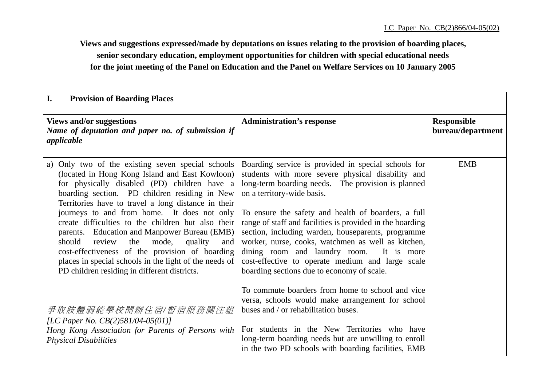**Views and suggestions expressed/made by deputations on issues relating to the provision of boarding places, senior secondary education, employment opportunities for children with special educational needs for the joint meeting of the Panel on Education and the Panel on Welfare Services on 10 January 2005**

| I.<br><b>Provision of Boarding Places</b>                                                                                                                                                                                                                                                                                                                            |                                                                                                                                                                                                                                                                                                                                                                               |                                         |
|----------------------------------------------------------------------------------------------------------------------------------------------------------------------------------------------------------------------------------------------------------------------------------------------------------------------------------------------------------------------|-------------------------------------------------------------------------------------------------------------------------------------------------------------------------------------------------------------------------------------------------------------------------------------------------------------------------------------------------------------------------------|-----------------------------------------|
| <b>Views and/or suggestions</b><br>Name of deputation and paper no. of submission if<br>applicable                                                                                                                                                                                                                                                                   | <b>Administration's response</b>                                                                                                                                                                                                                                                                                                                                              | <b>Responsible</b><br>bureau/department |
| Only two of the existing seven special schools<br>a)<br>(located in Hong Kong Island and East Kowloon)<br>for physically disabled (PD) children have a<br>boarding section. PD children residing in New<br>Territories have to travel a long distance in their                                                                                                       | Boarding service is provided in special schools for<br>students with more severe physical disability and<br>long-term boarding needs. The provision is planned<br>on a territory-wide basis.                                                                                                                                                                                  | <b>EMB</b>                              |
| journeys to and from home. It does not only<br>create difficulties to the children but also their<br>parents. Education and Manpower Bureau (EMB)<br>should<br>review<br>quality<br>the<br>mode,<br>and<br>cost-effectiveness of the provision of boarding<br>places in special schools in the light of the needs of<br>PD children residing in different districts. | To ensure the safety and health of boarders, a full<br>range of staff and facilities is provided in the boarding<br>section, including warden, houseparents, programme<br>worker, nurse, cooks, watchmen as well as kitchen,<br>dining room and laundry room.<br>It is more<br>cost-effective to operate medium and large scale<br>boarding sections due to economy of scale. |                                         |
| 爭取肢體弱能學校開辦住宿/暫宿服務關注組<br>[LC Paper No. $CB(2)$ 581/04-05(01)]<br>Hong Kong Association for Parents of Persons with<br><b>Physical Disabilities</b>                                                                                                                                                                                                                    | To commute boarders from home to school and vice<br>versa, schools would make arrangement for school<br>buses and / or rehabilitation buses.<br>For students in the New Territories who have<br>long-term boarding needs but are unwilling to enroll<br>in the two PD schools with boarding facilities, EMB                                                                   |                                         |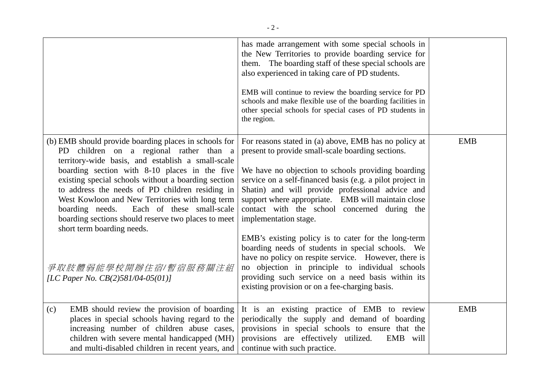|                                                                                                                                                                                                                                                                                                                                                                                                                                                                                                          | has made arrangement with some special schools in<br>the New Territories to provide boarding service for<br>them. The boarding staff of these special schools are<br>also experienced in taking care of PD students.<br>EMB will continue to review the boarding service for PD<br>schools and make flexible use of the boarding facilities in<br>other special schools for special cases of PD students in<br>the region.                                                                                                                                                           |            |
|----------------------------------------------------------------------------------------------------------------------------------------------------------------------------------------------------------------------------------------------------------------------------------------------------------------------------------------------------------------------------------------------------------------------------------------------------------------------------------------------------------|--------------------------------------------------------------------------------------------------------------------------------------------------------------------------------------------------------------------------------------------------------------------------------------------------------------------------------------------------------------------------------------------------------------------------------------------------------------------------------------------------------------------------------------------------------------------------------------|------------|
|                                                                                                                                                                                                                                                                                                                                                                                                                                                                                                          |                                                                                                                                                                                                                                                                                                                                                                                                                                                                                                                                                                                      |            |
| (b) EMB should provide boarding places in schools for<br>PD children on a regional rather than a<br>territory-wide basis, and establish a small-scale<br>boarding section with 8-10 places in the five<br>existing special schools without a boarding section<br>to address the needs of PD children residing in<br>West Kowloon and New Territories with long term<br>boarding needs.<br>Each of these small-scale<br>boarding sections should reserve two places to meet<br>short term boarding needs. | For reasons stated in (a) above, EMB has no policy at<br>present to provide small-scale boarding sections.<br>We have no objection to schools providing boarding<br>service on a self-financed basis (e.g. a pilot project in<br>Shatin) and will provide professional advice and<br>support where appropriate. EMB will maintain close<br>contact with the school concerned during the<br>implementation stage.<br>EMB's existing policy is to cater for the long-term<br>boarding needs of students in special schools. We<br>have no policy on respite service. However, there is | <b>EMB</b> |
| 爭取肢體弱能學校開辦住宿/暫宿服務關注組<br>[LC Paper No. CB(2)581/04-05(01)]                                                                                                                                                                                                                                                                                                                                                                                                                                                | no objection in principle to individual schools<br>providing such service on a need basis within its<br>existing provision or on a fee-charging basis.                                                                                                                                                                                                                                                                                                                                                                                                                               |            |
| EMB should review the provision of boarding<br>(c)<br>places in special schools having regard to the<br>increasing number of children abuse cases,<br>children with severe mental handicapped (MH)<br>and multi-disabled children in recent years, and                                                                                                                                                                                                                                                   | It is an existing practice of EMB to review<br>periodically the supply and demand of boarding<br>provisions in special schools to ensure that the<br>provisions are effectively utilized.<br>EMB will<br>continue with such practice.                                                                                                                                                                                                                                                                                                                                                | <b>EMB</b> |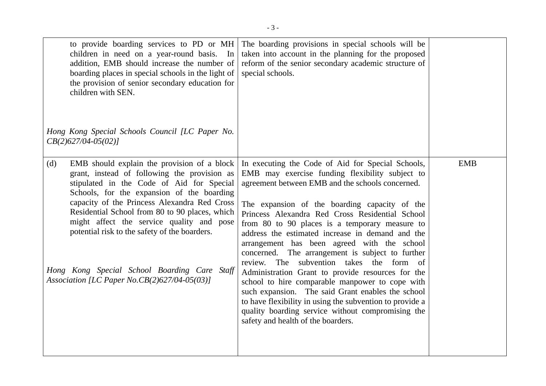| to provide boarding services to PD or MH<br>children in need on a year-round basis. In<br>addition, EMB should increase the number of<br>boarding places in special schools in the light of<br>the provision of senior secondary education for<br>children with SEN.<br>Hong Kong Special Schools Council [LC Paper No.<br>$CB(2)627/04-05(02)$                                                                                                                                                       | The boarding provisions in special schools will be<br>taken into account in the planning for the proposed<br>reform of the senior secondary academic structure of<br>special schools.                                                                                                                                                                                                                                                                                                                                                                                                                                                                                                                                                                                                                                                 |            |
|-------------------------------------------------------------------------------------------------------------------------------------------------------------------------------------------------------------------------------------------------------------------------------------------------------------------------------------------------------------------------------------------------------------------------------------------------------------------------------------------------------|---------------------------------------------------------------------------------------------------------------------------------------------------------------------------------------------------------------------------------------------------------------------------------------------------------------------------------------------------------------------------------------------------------------------------------------------------------------------------------------------------------------------------------------------------------------------------------------------------------------------------------------------------------------------------------------------------------------------------------------------------------------------------------------------------------------------------------------|------------|
| EMB should explain the provision of a block<br>(d)<br>grant, instead of following the provision as<br>stipulated in the Code of Aid for Special<br>Schools, for the expansion of the boarding<br>capacity of the Princess Alexandra Red Cross<br>Residential School from 80 to 90 places, which<br>might affect the service quality and pose<br>potential risk to the safety of the boarders.<br>Hong Kong Special School Boarding Care Staff<br>Association [LC Paper No.CB $(2)$ 627/04-05 $(03)$ ] | In executing the Code of Aid for Special Schools,<br>EMB may exercise funding flexibility subject to<br>agreement between EMB and the schools concerned.<br>The expansion of the boarding capacity of the<br>Princess Alexandra Red Cross Residential School<br>from 80 to 90 places is a temporary measure to<br>address the estimated increase in demand and the<br>arrangement has been agreed with the school<br>concerned. The arrangement is subject to further<br>review. The subvention takes the form of<br>Administration Grant to provide resources for the<br>school to hire comparable manpower to cope with<br>such expansion. The said Grant enables the school<br>to have flexibility in using the subvention to provide a<br>quality boarding service without compromising the<br>safety and health of the boarders. | <b>EMB</b> |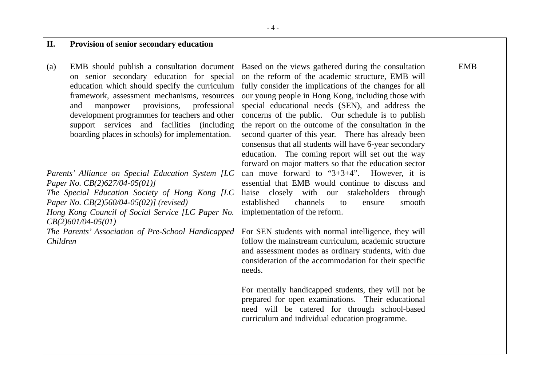| II.                           | Provision of senior secondary education                                                                                                                                                                                                                                                                                                                                                                                                                                                                                                                                                                                                                                                                              |                                                                                                                                                                                                                                                                                                                                                                                                                                                                                                                                                                                                                                                                                                                                                                                                                                                                                                                                                                                                                                                                                                                                                                                                                                                                                                                                        |            |
|-------------------------------|----------------------------------------------------------------------------------------------------------------------------------------------------------------------------------------------------------------------------------------------------------------------------------------------------------------------------------------------------------------------------------------------------------------------------------------------------------------------------------------------------------------------------------------------------------------------------------------------------------------------------------------------------------------------------------------------------------------------|----------------------------------------------------------------------------------------------------------------------------------------------------------------------------------------------------------------------------------------------------------------------------------------------------------------------------------------------------------------------------------------------------------------------------------------------------------------------------------------------------------------------------------------------------------------------------------------------------------------------------------------------------------------------------------------------------------------------------------------------------------------------------------------------------------------------------------------------------------------------------------------------------------------------------------------------------------------------------------------------------------------------------------------------------------------------------------------------------------------------------------------------------------------------------------------------------------------------------------------------------------------------------------------------------------------------------------------|------------|
| $\left( a\right)$<br>Children | EMB should publish a consultation document<br>on senior secondary education for special<br>education which should specify the curriculum<br>framework, assessment mechanisms, resources<br>provisions,<br>professional<br>manpower<br>and<br>development programmes for teachers and other<br>support services and facilities (including<br>boarding places in schools) for implementation.<br>Parents' Alliance on Special Education System [LC<br>Paper No. $CB(2)$ 627/04-05(01)]<br>The Special Education Society of Hong Kong [LC<br>Paper No. CB(2)560/04-05(02)] (revised)<br>Hong Kong Council of Social Service [LC Paper No.<br>$CB(2)601/04-05(01)$<br>The Parents' Association of Pre-School Handicapped | Based on the views gathered during the consultation<br>on the reform of the academic structure, EMB will<br>fully consider the implications of the changes for all<br>our young people in Hong Kong, including those with<br>special educational needs (SEN), and address the<br>concerns of the public. Our schedule is to publish<br>the report on the outcome of the consultation in the<br>second quarter of this year. There has already been<br>consensus that all students will have 6-year secondary<br>education. The coming report will set out the way<br>forward on major matters so that the education sector<br>can move forward to " $3+3+4$ ".<br>However, it is<br>essential that EMB would continue to discuss and<br>liaise closely with our stakeholders<br>through<br>established<br>channels<br>smooth<br>to<br>ensure<br>implementation of the reform.<br>For SEN students with normal intelligence, they will<br>follow the mainstream curriculum, academic structure<br>and assessment modes as ordinary students, with due<br>consideration of the accommodation for their specific<br>needs.<br>For mentally handicapped students, they will not be<br>prepared for open examinations. Their educational<br>need will be catered for through school-based<br>curriculum and individual education programme. | <b>EMB</b> |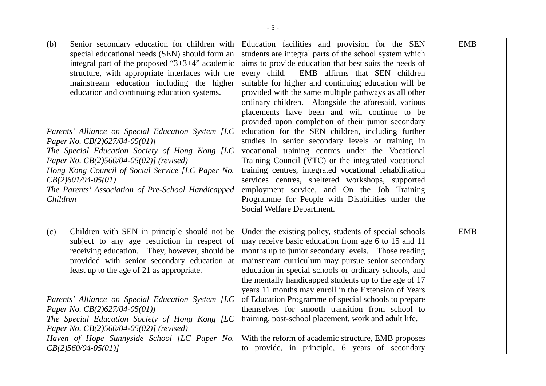| (b)<br>Senior secondary education for children with<br>special educational needs (SEN) should form an<br>integral part of the proposed " $3+3+4$ " academic<br>structure, with appropriate interfaces with the<br>mainstream education including the higher<br>education and continuing education systems.<br>Parents' Alliance on Special Education System [LC<br>Paper No. $CB(2)627/04-05(01)$<br>The Special Education Society of Hong Kong [LC<br>Paper No. CB(2)560/04-05(02)] (revised)<br>Hong Kong Council of Social Service [LC Paper No.<br>$CB(2)601/04-05(01)$<br>The Parents' Association of Pre-School Handicapped<br>Children | Education facilities and provision for the SEN<br>students are integral parts of the school system which<br>aims to provide education that best suits the needs of<br>EMB affirms that SEN children<br>every child.<br>suitable for higher and continuing education will be<br>provided with the same multiple pathways as all other<br>ordinary children. Alongside the aforesaid, various<br>placements have been and will continue to be<br>provided upon completion of their junior secondary<br>education for the SEN children, including further<br>studies in senior secondary levels or training in<br>vocational training centres under the Vocational<br>Training Council (VTC) or the integrated vocational<br>training centres, integrated vocational rehabilitation<br>services centres, sheltered workshops, supported<br>employment service, and On the Job Training<br>Programme for People with Disabilities under the<br>Social Welfare Department. | <b>EMB</b> |
|-----------------------------------------------------------------------------------------------------------------------------------------------------------------------------------------------------------------------------------------------------------------------------------------------------------------------------------------------------------------------------------------------------------------------------------------------------------------------------------------------------------------------------------------------------------------------------------------------------------------------------------------------|-----------------------------------------------------------------------------------------------------------------------------------------------------------------------------------------------------------------------------------------------------------------------------------------------------------------------------------------------------------------------------------------------------------------------------------------------------------------------------------------------------------------------------------------------------------------------------------------------------------------------------------------------------------------------------------------------------------------------------------------------------------------------------------------------------------------------------------------------------------------------------------------------------------------------------------------------------------------------|------------|
| Children with SEN in principle should not be<br>(c)<br>subject to any age restriction in respect of<br>receiving education. They, however, should be<br>provided with senior secondary education at<br>least up to the age of 21 as appropriate.<br>Parents' Alliance on Special Education System [LC<br>Paper No. $CB(2)627/04-05(01)$<br>The Special Education Society of Hong Kong [LC<br>Paper No. $CB(2)560/04-05(02)$ (revised)<br>Haven of Hope Sunnyside School [LC Paper No.<br>$CB(2)560/04-05(01)$                                                                                                                                 | Under the existing policy, students of special schools<br>may receive basic education from age 6 to 15 and 11<br>months up to junior secondary levels. Those reading<br>mainstream curriculum may pursue senior secondary<br>education in special schools or ordinary schools, and<br>the mentally handicapped students up to the age of 17<br>years 11 months may enroll in the Extension of Years<br>of Education Programme of special schools to prepare<br>themselves for smooth transition from school to<br>training, post-school placement, work and adult life.<br>With the reform of academic structure, EMB proposes<br>to provide, in principle, 6 years of secondary                                                                                                                                                                                                                                                                                      | <b>EMB</b> |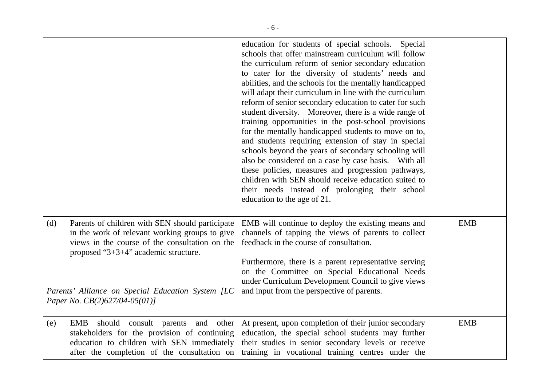|                                                                                                                                                                                                                                                                                               | education for students of special schools.<br>Special<br>schools that offer mainstream curriculum will follow<br>the curriculum reform of senior secondary education<br>to cater for the diversity of students' needs and<br>abilities, and the schools for the mentally handicapped<br>will adapt their curriculum in line with the curriculum<br>reform of senior secondary education to cater for such<br>student diversity. Moreover, there is a wide range of<br>training opportunities in the post-school provisions<br>for the mentally handicapped students to move on to,<br>and students requiring extension of stay in special<br>schools beyond the years of secondary schooling will<br>also be considered on a case by case basis. With all<br>these policies, measures and progression pathways,<br>children with SEN should receive education suited to<br>their needs instead of prolonging their school<br>education to the age of 21. |            |
|-----------------------------------------------------------------------------------------------------------------------------------------------------------------------------------------------------------------------------------------------------------------------------------------------|----------------------------------------------------------------------------------------------------------------------------------------------------------------------------------------------------------------------------------------------------------------------------------------------------------------------------------------------------------------------------------------------------------------------------------------------------------------------------------------------------------------------------------------------------------------------------------------------------------------------------------------------------------------------------------------------------------------------------------------------------------------------------------------------------------------------------------------------------------------------------------------------------------------------------------------------------------|------------|
| (d)<br>Parents of children with SEN should participate<br>in the work of relevant working groups to give<br>views in the course of the consultation on the<br>proposed " $3+3+4$ " academic structure.<br>Parents' Alliance on Special Education System [LC<br>Paper No. $CB(2)627/04-05(01)$ | EMB will continue to deploy the existing means and<br>channels of tapping the views of parents to collect<br>feedback in the course of consultation.<br>Furthermore, there is a parent representative serving<br>on the Committee on Special Educational Needs<br>under Curriculum Development Council to give views<br>and input from the perspective of parents.                                                                                                                                                                                                                                                                                                                                                                                                                                                                                                                                                                                       | <b>EMB</b> |
| EMB<br>and other<br>should consult parents<br>(e)<br>stakeholders for the provision of continuing<br>education to children with SEN immediately<br>after the completion of the consultation on                                                                                                | At present, upon completion of their junior secondary<br>education, the special school students may further<br>their studies in senior secondary levels or receive<br>training in vocational training centres under the                                                                                                                                                                                                                                                                                                                                                                                                                                                                                                                                                                                                                                                                                                                                  | <b>EMB</b> |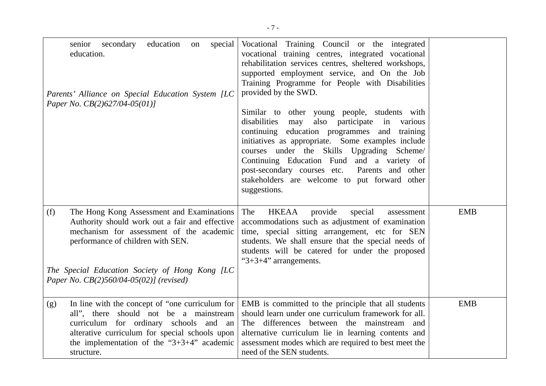| secondary<br>education<br>special<br>senior<br>on<br>education.<br>Parents' Alliance on Special Education System [LC<br>Paper No. $CB(2)627/04-05(01)$                                                                                                                            | Vocational Training Council or the integrated<br>vocational training centres, integrated vocational<br>rehabilitation services centres, sheltered workshops,<br>supported employment service, and On the Job<br>Training Programme for People with Disabilities<br>provided by the SWD.<br>Similar to other young people, students with<br>disabilities<br>also participate in<br>may<br>various<br>continuing education programmes and<br>training<br>initiatives as appropriate. Some examples include<br>courses under the Skills Upgrading Scheme/<br>Continuing Education Fund and a variety of<br>post-secondary courses etc.<br>Parents and other<br>stakeholders are welcome to put forward other<br>suggestions. |            |
|-----------------------------------------------------------------------------------------------------------------------------------------------------------------------------------------------------------------------------------------------------------------------------------|---------------------------------------------------------------------------------------------------------------------------------------------------------------------------------------------------------------------------------------------------------------------------------------------------------------------------------------------------------------------------------------------------------------------------------------------------------------------------------------------------------------------------------------------------------------------------------------------------------------------------------------------------------------------------------------------------------------------------|------------|
| (f)<br>The Hong Kong Assessment and Examinations<br>Authority should work out a fair and effective<br>mechanism for assessment of the academic<br>performance of children with SEN.<br>The Special Education Society of Hong Kong [LC]<br>Paper No. CB(2)560/04-05(02)] (revised) | The<br><b>HKEAA</b><br>provide<br>special<br>assessment<br>accommodations such as adjustment of examination<br>time, special sitting arrangement, etc for SEN<br>students. We shall ensure that the special needs of<br>students will be catered for under the proposed<br>"3+3+4" arrangements.                                                                                                                                                                                                                                                                                                                                                                                                                          | <b>EMB</b> |
| In line with the concept of "one curriculum for<br>(g)<br>all", there should not be a mainstream<br>curriculum for ordinary schools and an<br>alterative curriculum for special schools upon<br>the implementation of the " $3+3+4$ " academic<br>structure.                      | EMB is committed to the principle that all students<br>should learn under one curriculum framework for all.<br>The differences between the mainstream and<br>alternative curriculum lie in learning contents and<br>assessment modes which are required to best meet the<br>need of the SEN students.                                                                                                                                                                                                                                                                                                                                                                                                                     | <b>EMB</b> |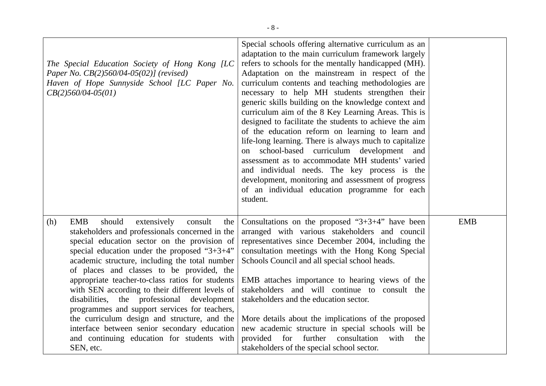| The Special Education Society of Hong Kong [LC]<br>Paper No. CB(2)560/04-05(02)] (revised)<br>Haven of Hope Sunnyside School [LC Paper No.<br>$CB(2)560/04-05(01)$                                                                                                                                                                                                                                                                                                                                                                                                                                                                                                                  | Special schools offering alternative curriculum as an<br>adaptation to the main curriculum framework largely<br>refers to schools for the mentally handicapped (MH).<br>Adaptation on the mainstream in respect of the<br>curriculum contents and teaching methodologies are<br>necessary to help MH students strengthen their<br>generic skills building on the knowledge context and<br>curriculum aim of the 8 Key Learning Areas. This is<br>designed to facilitate the students to achieve the aim<br>of the education reform on learning to learn and<br>life-long learning. There is always much to capitalize<br>on school-based curriculum development and<br>assessment as to accommodate MH students' varied<br>and individual needs. The key process is the<br>development, monitoring and assessment of progress<br>of an individual education programme for each<br>student. |            |
|-------------------------------------------------------------------------------------------------------------------------------------------------------------------------------------------------------------------------------------------------------------------------------------------------------------------------------------------------------------------------------------------------------------------------------------------------------------------------------------------------------------------------------------------------------------------------------------------------------------------------------------------------------------------------------------|--------------------------------------------------------------------------------------------------------------------------------------------------------------------------------------------------------------------------------------------------------------------------------------------------------------------------------------------------------------------------------------------------------------------------------------------------------------------------------------------------------------------------------------------------------------------------------------------------------------------------------------------------------------------------------------------------------------------------------------------------------------------------------------------------------------------------------------------------------------------------------------------|------------|
| <b>EMB</b><br>should<br>(h)<br>extensively<br>consult<br>the<br>stakeholders and professionals concerned in the<br>special education sector on the provision of<br>special education under the proposed " $3+3+4$ "<br>academic structure, including the total number<br>of places and classes to be provided, the<br>appropriate teacher-to-class ratios for students<br>with SEN according to their different levels of<br>disabilities, the professional development<br>programmes and support services for teachers,<br>the curriculum design and structure, and the<br>interface between senior secondary education<br>and continuing education for students with<br>SEN, etc. | Consultations on the proposed " $3+3+4$ " have been<br>arranged with various stakeholders and council<br>representatives since December 2004, including the<br>consultation meetings with the Hong Kong Special<br>Schools Council and all special school heads.<br>EMB attaches importance to hearing views of the<br>stakeholders and will continue to consult the<br>stakeholders and the education sector.<br>More details about the implications of the proposed<br>new academic structure in special schools will be<br>provided for further consultation<br>with<br>the<br>stakeholders of the special school sector.                                                                                                                                                                                                                                                               | <b>EMB</b> |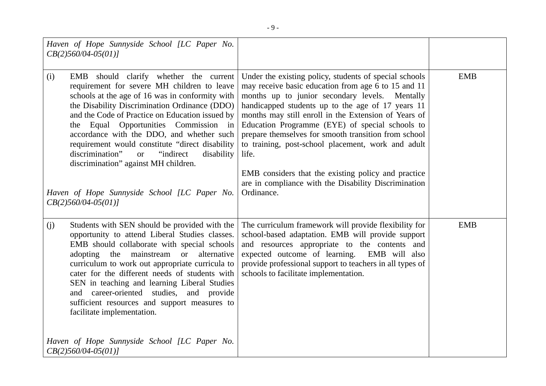| Haven of Hope Sunnyside School [LC Paper No.<br>$CB(2)560/04-05(01)$                                                                                                                                                                                                                                                                                                                                                                                                                                                                                                            |                                                                                                                                                                                                                                                                                                                                                                                                                                                                                                                                                                                     |            |
|---------------------------------------------------------------------------------------------------------------------------------------------------------------------------------------------------------------------------------------------------------------------------------------------------------------------------------------------------------------------------------------------------------------------------------------------------------------------------------------------------------------------------------------------------------------------------------|-------------------------------------------------------------------------------------------------------------------------------------------------------------------------------------------------------------------------------------------------------------------------------------------------------------------------------------------------------------------------------------------------------------------------------------------------------------------------------------------------------------------------------------------------------------------------------------|------------|
| EMB should clarify whether the current<br>(i)<br>requirement for severe MH children to leave<br>schools at the age of 16 was in conformity with<br>the Disability Discrimination Ordinance (DDO)<br>and the Code of Practice on Education issued by<br>Equal Opportunities Commission in<br>the<br>accordance with the DDO, and whether such<br>requirement would constitute "direct disability<br>discrimination"<br>"indirect"<br>disability<br><sub>or</sub><br>discrimination" against MH children.<br>Haven of Hope Sunnyside School [LC Paper No.<br>$CB(2)560/04-05(01)$ | Under the existing policy, students of special schools<br>may receive basic education from age 6 to 15 and 11<br>months up to junior secondary levels. Mentally<br>handicapped students up to the age of 17 years 11<br>months may still enroll in the Extension of Years of<br>Education Programme (EYE) of special schools to<br>prepare themselves for smooth transition from school<br>to training, post-school placement, work and adult<br>life.<br>EMB considers that the existing policy and practice<br>are in compliance with the Disability Discrimination<br>Ordinance. | <b>EMB</b> |
| Students with SEN should be provided with the<br>(j)<br>opportunity to attend Liberal Studies classes.<br>EMB should collaborate with special schools<br>adopting the mainstream<br>alternative<br><b>or</b><br>curriculum to work out appropriate curricula to<br>cater for the different needs of students with<br>SEN in teaching and learning Liberal Studies<br>and career-oriented studies, and provide<br>sufficient resources and support measures to<br>facilitate implementation.<br>Haven of Hope Sunnyside School [LC Paper No.<br>$CB(2)560/04-05(01)$             | The curriculum framework will provide flexibility for<br>school-based adaptation. EMB will provide support<br>and resources appropriate to the contents and<br>expected outcome of learning. EMB will also<br>provide professional support to teachers in all types of<br>schools to facilitate implementation.                                                                                                                                                                                                                                                                     | <b>EMB</b> |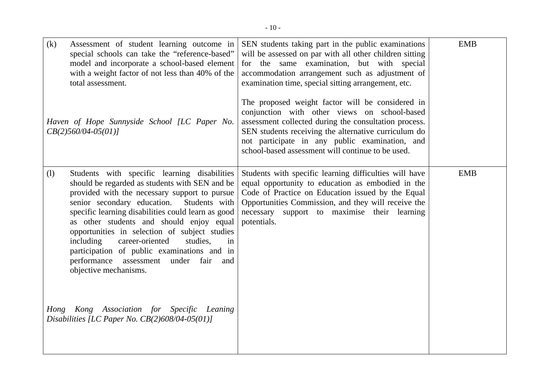| (k) | Assessment of student learning outcome in<br>special schools can take the "reference-based"<br>model and incorporate a school-based element<br>with a weight factor of not less than 40% of the<br>total assessment.<br>Haven of Hope Sunnyside School [LC Paper No.<br>$CB(2)560/04-05(01)$                                                                                                                                                                                                                                | SEN students taking part in the public examinations<br>will be assessed on par with all other children sitting<br>for the same examination, but with special<br>accommodation arrangement such as adjustment of<br>examination time, special sitting arrangement, etc.<br>The proposed weight factor will be considered in<br>conjunction with other views on school-based<br>assessment collected during the consultation process.<br>SEN students receiving the alternative curriculum do<br>not participate in any public examination, and | <b>EMB</b> |
|-----|-----------------------------------------------------------------------------------------------------------------------------------------------------------------------------------------------------------------------------------------------------------------------------------------------------------------------------------------------------------------------------------------------------------------------------------------------------------------------------------------------------------------------------|-----------------------------------------------------------------------------------------------------------------------------------------------------------------------------------------------------------------------------------------------------------------------------------------------------------------------------------------------------------------------------------------------------------------------------------------------------------------------------------------------------------------------------------------------|------------|
| (1) | Students with specific learning disabilities<br>should be regarded as students with SEN and be<br>provided with the necessary support to pursue<br>senior secondary education.<br>Students with<br>specific learning disabilities could learn as good<br>as other students and should enjoy equal<br>opportunities in selection of subject studies<br>including<br>career-oriented<br>studies,<br>in<br>participation of public examinations and in<br>performance assessment<br>under fair<br>and<br>objective mechanisms. | school-based assessment will continue to be used.<br>Students with specific learning difficulties will have<br>equal opportunity to education as embodied in the<br>Code of Practice on Education issued by the Equal<br>Opportunities Commission, and they will receive the<br>necessary support to maximise their learning<br>potentials.                                                                                                                                                                                                   | <b>EMB</b> |
|     | Hong Kong Association for Specific Leaning<br>Disabilities [LC Paper No. $CB(2)608/04-05(01)$ ]                                                                                                                                                                                                                                                                                                                                                                                                                             |                                                                                                                                                                                                                                                                                                                                                                                                                                                                                                                                               |            |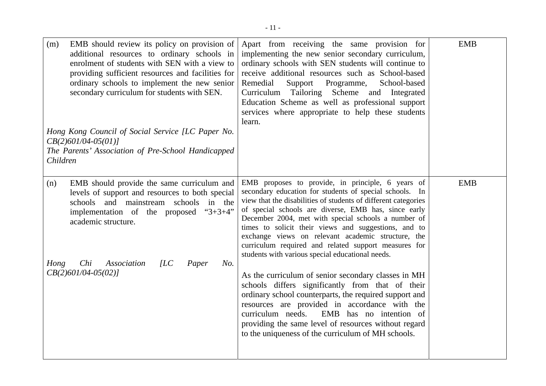| EMB should review its policy on provision of<br>(m)<br>additional resources to ordinary schools in<br>enrolment of students with SEN with a view to<br>providing sufficient resources and facilities for<br>ordinary schools to implement the new senior<br>secondary curriculum for students with SEN. | Apart from receiving the same provision for<br>implementing the new senior secondary curriculum,<br>ordinary schools with SEN students will continue to<br>receive additional resources such as School-based<br>Remedial<br>Support<br>Programme,<br>School-based<br>Curriculum Tailoring Scheme and Integrated<br>Education Scheme as well as professional support<br>services where appropriate to help these students<br>learn.                                                                                      | <b>EMB</b> |
|---------------------------------------------------------------------------------------------------------------------------------------------------------------------------------------------------------------------------------------------------------------------------------------------------------|-------------------------------------------------------------------------------------------------------------------------------------------------------------------------------------------------------------------------------------------------------------------------------------------------------------------------------------------------------------------------------------------------------------------------------------------------------------------------------------------------------------------------|------------|
| Hong Kong Council of Social Service [LC Paper No.                                                                                                                                                                                                                                                       |                                                                                                                                                                                                                                                                                                                                                                                                                                                                                                                         |            |
| $CB(2)601/04-05(01)$<br>The Parents' Association of Pre-School Handicapped                                                                                                                                                                                                                              |                                                                                                                                                                                                                                                                                                                                                                                                                                                                                                                         |            |
| Children                                                                                                                                                                                                                                                                                                |                                                                                                                                                                                                                                                                                                                                                                                                                                                                                                                         |            |
|                                                                                                                                                                                                                                                                                                         |                                                                                                                                                                                                                                                                                                                                                                                                                                                                                                                         |            |
| EMB should provide the same curriculum and<br>(n)<br>levels of support and resources to both special<br>schools and mainstream schools<br>in the<br>implementation of the proposed<br>$3+3+4$<br>academic structure.                                                                                    | EMB proposes to provide, in principle, 6 years of<br>secondary education for students of special schools. In<br>view that the disabilities of students of different categories<br>of special schools are diverse, EMB has, since early<br>December 2004, met with special schools a number of<br>times to solicit their views and suggestions, and to<br>exchange views on relevant academic structure, the<br>curriculum required and related support measures for<br>students with various special educational needs. | <b>EMB</b> |
| Chi<br>Association<br>[LC]<br>Paper<br>Hong<br>No.<br>$CB(2)601/04-05(02)$                                                                                                                                                                                                                              | As the curriculum of senior secondary classes in MH<br>schools differs significantly from that of their<br>ordinary school counterparts, the required support and<br>resources are provided in accordance with the<br>curriculum needs.<br>EMB has no intention of<br>providing the same level of resources without regard<br>to the uniqueness of the curriculum of MH schools.                                                                                                                                        |            |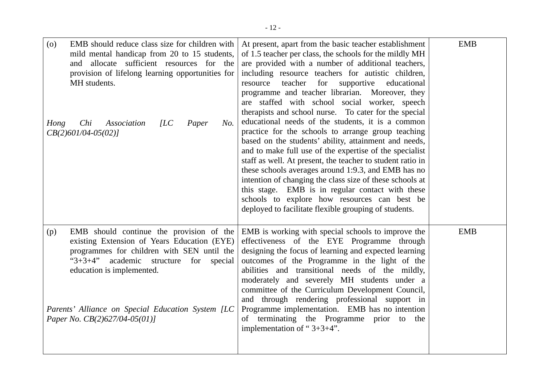| EMB should reduce class size for children with<br>(0)<br>mild mental handicap from 20 to 15 students,<br>allocate sufficient resources for the<br>and<br>provision of lifelong learning opportunities for<br>MH students.<br>Chi<br>Association<br>ILC<br>Hong<br>Paper<br>No.<br>$CB(2)601/04-05(02)$           | At present, apart from the basic teacher establishment<br>of 1.5 teacher per class, the schools for the mildly MH<br>are provided with a number of additional teachers,<br>including resource teachers for autistic children,<br>teacher<br>for<br>supportive<br>resource<br>educational<br>programme and teacher librarian. Moreover, they<br>are staffed with school social worker, speech<br>therapists and school nurse. To cater for the special<br>educational needs of the students, it is a common<br>practice for the schools to arrange group teaching<br>based on the students' ability, attainment and needs,<br>and to make full use of the expertise of the specialist<br>staff as well. At present, the teacher to student ratio in<br>these schools averages around 1:9.3, and EMB has no<br>intention of changing the class size of these schools at<br>this stage. EMB is in regular contact with these<br>schools to explore how resources can best be<br>deployed to facilitate flexible grouping of students. | <b>EMB</b> |
|------------------------------------------------------------------------------------------------------------------------------------------------------------------------------------------------------------------------------------------------------------------------------------------------------------------|------------------------------------------------------------------------------------------------------------------------------------------------------------------------------------------------------------------------------------------------------------------------------------------------------------------------------------------------------------------------------------------------------------------------------------------------------------------------------------------------------------------------------------------------------------------------------------------------------------------------------------------------------------------------------------------------------------------------------------------------------------------------------------------------------------------------------------------------------------------------------------------------------------------------------------------------------------------------------------------------------------------------------------|------------|
| EMB should continue the provision of the<br>(p)<br>existing Extension of Years Education (EYE)<br>programmes for children with SEN until the<br>" $3+3+4$ " academic structure for<br>special<br>education is implemented.<br>Parents' Alliance on Special Education System [LC<br>Paper No. CB(2)627/04-05(01)] | EMB is working with special schools to improve the<br>effectiveness of the EYE Programme through<br>designing the focus of learning and expected learning<br>outcomes of the Programme in the light of the<br>abilities and transitional needs of the mildly,<br>moderately and severely MH students under a<br>committee of the Curriculum Development Council,<br>and through rendering professional support in<br>Programme implementation. EMB has no intention<br>of terminating the Programme<br>prior to the<br>implementation of " $3+3+4$ ".                                                                                                                                                                                                                                                                                                                                                                                                                                                                              | <b>EMB</b> |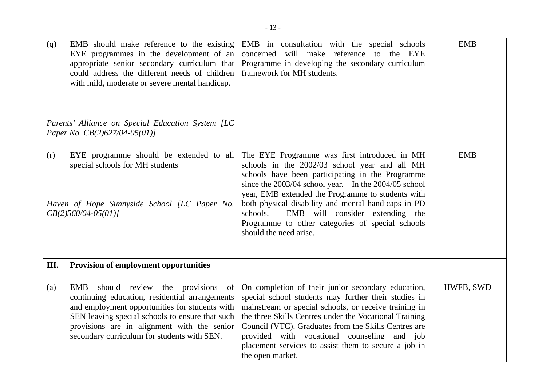| (q)  | EMB should make reference to the existing<br>EYE programmes in the development of an<br>appropriate senior secondary curriculum that<br>could address the different needs of children<br>with mild, moderate or severe mental handicap.<br>Parents' Alliance on Special Education System [LC<br>Paper No. $CB(2)$ 627/04-05(01)] | EMB in consultation with the special schools<br>concerned will make reference to the EYE<br>Programme in developing the secondary curriculum<br>framework for MH students.                                                                                                                                                                                                                                                                         | <b>EMB</b> |
|------|----------------------------------------------------------------------------------------------------------------------------------------------------------------------------------------------------------------------------------------------------------------------------------------------------------------------------------|----------------------------------------------------------------------------------------------------------------------------------------------------------------------------------------------------------------------------------------------------------------------------------------------------------------------------------------------------------------------------------------------------------------------------------------------------|------------|
| (r)  | EYE programme should be extended to all<br>special schools for MH students<br>Haven of Hope Sunnyside School [LC Paper No.<br>$CB(2)560/04-05(01)$                                                                                                                                                                               | The EYE Programme was first introduced in MH<br>schools in the 2002/03 school year and all MH<br>schools have been participating in the Programme<br>since the 2003/04 school year. In the 2004/05 school<br>year, EMB extended the Programme to students with<br>both physical disability and mental handicaps in PD<br>EMB will consider extending the<br>schools.<br>Programme to other categories of special schools<br>should the need arise. | <b>EMB</b> |
| III. | <b>Provision of employment opportunities</b>                                                                                                                                                                                                                                                                                     |                                                                                                                                                                                                                                                                                                                                                                                                                                                    |            |
| (a)  | should review the provisions<br>EMB<br>of<br>continuing education, residential arrangements<br>and employment opportunities for students with<br>SEN leaving special schools to ensure that such<br>provisions are in alignment with the senior<br>secondary curriculum for students with SEN.                                   | On completion of their junior secondary education,<br>special school students may further their studies in<br>mainstream or special schools, or receive training in<br>the three Skills Centres under the Vocational Training<br>Council (VTC). Graduates from the Skills Centres are<br>provided with vocational counseling and job<br>placement services to assist them to secure a job in<br>the open market.                                   | HWFB, SWD  |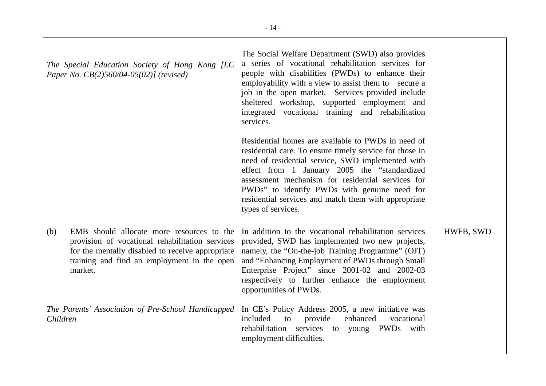| The Special Education Society of Hong Kong [LC]<br>Paper No. CB(2)560/04-05(02)] (revised)                                                                                                                        | The Social Welfare Department (SWD) also provides<br>a series of vocational rehabilitation services for<br>people with disabilities (PWDs) to enhance their<br>employability with a view to assist them to secure a<br>job in the open market. Services provided include<br>sheltered workshop, supported employment and<br>integrated vocational training and rehabilitation<br>services.<br>Residential homes are available to PWDs in need of<br>residential care. To ensure timely service for those in<br>need of residential service, SWD implemented with<br>effect from 1 January 2005 the "standardized<br>assessment mechanism for residential services for<br>PWDs" to identify PWDs with genuine need for<br>residential services and match them with appropriate<br>types of services. |           |
|-------------------------------------------------------------------------------------------------------------------------------------------------------------------------------------------------------------------|-----------------------------------------------------------------------------------------------------------------------------------------------------------------------------------------------------------------------------------------------------------------------------------------------------------------------------------------------------------------------------------------------------------------------------------------------------------------------------------------------------------------------------------------------------------------------------------------------------------------------------------------------------------------------------------------------------------------------------------------------------------------------------------------------------|-----------|
| (b)<br>EMB should allocate more resources to the<br>provision of vocational rehabilitation services<br>for the mentally disabled to receive appropriate<br>training and find an employment in the open<br>market. | In addition to the vocational rehabilitation services<br>provided, SWD has implemented two new projects,<br>namely, the "On-the-job Training Programme" (OJT)<br>and "Enhancing Employment of PWDs through Small<br>Enterprise Project" since 2001-02 and 2002-03<br>respectively to further enhance the employment<br>opportunities of PWDs.                                                                                                                                                                                                                                                                                                                                                                                                                                                       | HWFB, SWD |
| The Parents' Association of Pre-School Handicapped<br>Children                                                                                                                                                    | In CE's Policy Address 2005, a new initiative was<br>included<br>to<br>provide<br>enhanced<br>vocational<br>rehabilitation services to young PWDs with<br>employment difficulties.                                                                                                                                                                                                                                                                                                                                                                                                                                                                                                                                                                                                                  |           |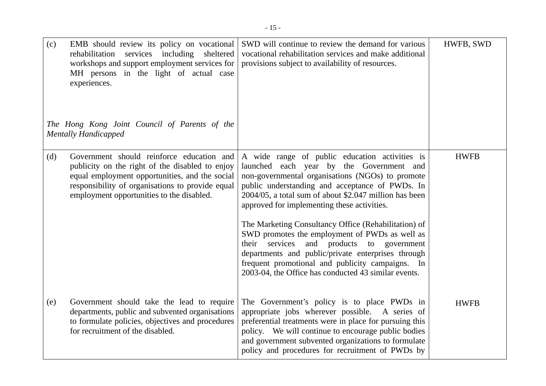| (c) | EMB should review its policy on vocational<br>rehabilitation<br>services including<br>sheltered<br>workshops and support employment services for<br>MH persons in the light of actual case<br>experiences.<br>The Hong Kong Joint Council of Parents of the<br><b>Mentally Handicapped</b> | SWD will continue to review the demand for various<br>vocational rehabilitation services and make additional<br>provisions subject to availability of resources.                                                                                                                                                                                                                                                                                                                                                                                                                                                                          | HWFB, SWD   |
|-----|--------------------------------------------------------------------------------------------------------------------------------------------------------------------------------------------------------------------------------------------------------------------------------------------|-------------------------------------------------------------------------------------------------------------------------------------------------------------------------------------------------------------------------------------------------------------------------------------------------------------------------------------------------------------------------------------------------------------------------------------------------------------------------------------------------------------------------------------------------------------------------------------------------------------------------------------------|-------------|
| (d) | Government should reinforce education and<br>publicity on the right of the disabled to enjoy<br>equal employment opportunities, and the social<br>responsibility of organisations to provide equal<br>employment opportunities to the disabled.                                            | A wide range of public education activities is<br>launched each year by the Government and<br>non-governmental organisations (NGOs) to promote<br>public understanding and acceptance of PWDs. In<br>2004/05, a total sum of about \$2.047 million has been<br>approved for implementing these activities.<br>The Marketing Consultancy Office (Rehabilitation) of<br>SWD promotes the employment of PWDs as well as<br>and products to government<br>services<br>their<br>departments and public/private enterprises through<br>frequent promotional and publicity campaigns. In<br>2003-04, the Office has conducted 43 similar events. | <b>HWFB</b> |
| (e) | Government should take the lead to require<br>departments, public and subvented organisations<br>to formulate policies, objectives and procedures<br>for recruitment of the disabled.                                                                                                      | The Government's policy is to place PWDs in<br>appropriate jobs wherever possible. A series of<br>preferential treatments were in place for pursuing this<br>policy. We will continue to encourage public bodies<br>and government subvented organizations to formulate<br>policy and procedures for recruitment of PWDs by                                                                                                                                                                                                                                                                                                               | <b>HWFB</b> |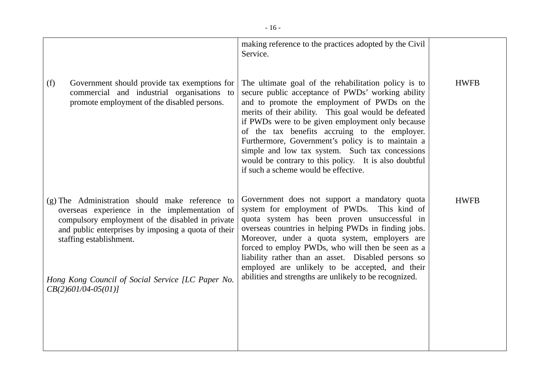|                                                                                                                                                                                                                                                                                                                      | making reference to the practices adopted by the Civil<br>Service.                                                                                                                                                                                                                                                                                                                                                                                                                                                              |             |
|----------------------------------------------------------------------------------------------------------------------------------------------------------------------------------------------------------------------------------------------------------------------------------------------------------------------|---------------------------------------------------------------------------------------------------------------------------------------------------------------------------------------------------------------------------------------------------------------------------------------------------------------------------------------------------------------------------------------------------------------------------------------------------------------------------------------------------------------------------------|-------------|
| (f)<br>Government should provide tax exemptions for<br>commercial and industrial organisations to<br>promote employment of the disabled persons.                                                                                                                                                                     | The ultimate goal of the rehabilitation policy is to<br>secure public acceptance of PWDs' working ability<br>and to promote the employment of PWDs on the<br>merits of their ability. This goal would be defeated<br>if PWDs were to be given employment only because<br>of the tax benefits accruing to the employer.<br>Furthermore, Government's policy is to maintain a<br>simple and low tax system. Such tax concessions<br>would be contrary to this policy. It is also doubtful<br>if such a scheme would be effective. | <b>HWFB</b> |
| $(g)$ The Administration should make reference to<br>overseas experience in the implementation of<br>compulsory employment of the disabled in private<br>and public enterprises by imposing a quota of their<br>staffing establishment.<br>Hong Kong Council of Social Service [LC Paper No.<br>$CB(2)601/04-05(01)$ | Government does not support a mandatory quota<br>system for employment of PWDs.<br>This kind of<br>quota system has been proven unsuccessful in<br>overseas countries in helping PWDs in finding jobs.<br>Moreover, under a quota system, employers are<br>forced to employ PWDs, who will then be seen as a<br>liability rather than an asset. Disabled persons so<br>employed are unlikely to be accepted, and their<br>abilities and strengths are unlikely to be recognized.                                                | <b>HWFB</b> |